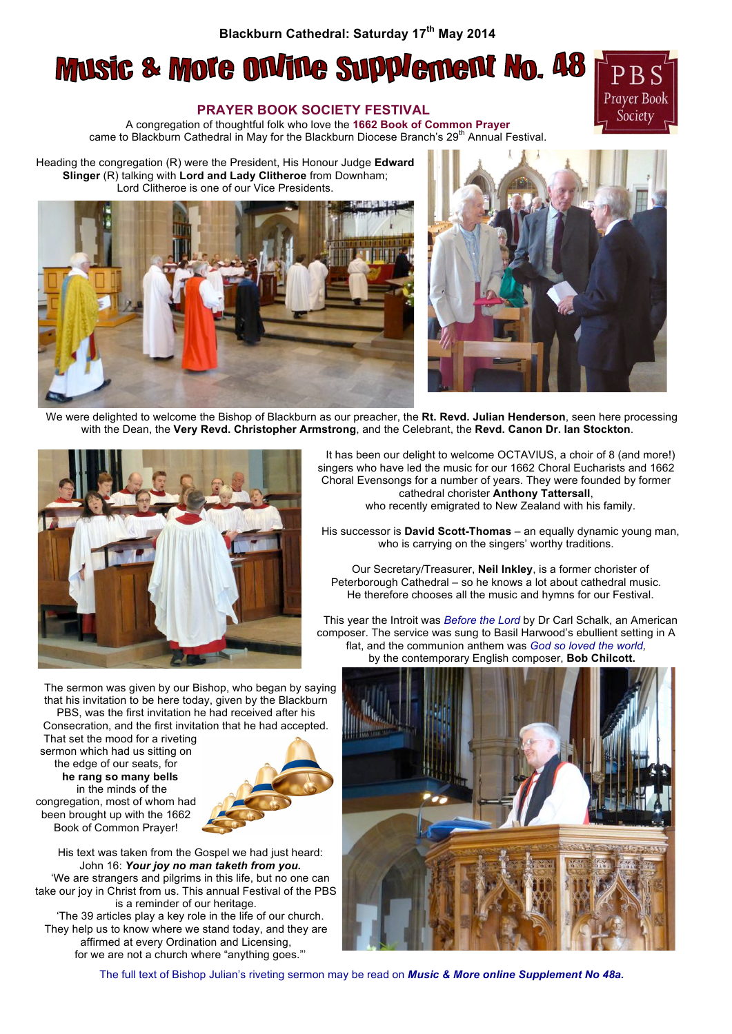## **Blackburn Cathedral: Saturday 17th May 2014**

## **Music & More Online Supplement No. 48**



## **PRAYER BOOK SOCIETY FESTIVAL**

A congregation of thoughtful folk who love the **1662 Book of Common Prayer** came to Blackburn Cathedral in May for the Blackburn Diocese Branch's 29<sup>th</sup> Annual Festival.

Heading the congregation (R) were the President, His Honour Judge **Edward Slinger** (R) talking with **Lord and Lady Clitheroe** from Downham; Lord Clitheroe is one of our Vice Presidents.





We were delighted to welcome the Bishop of Blackburn as our preacher, the **Rt. Revd. Julian Henderson**, seen here processing with the Dean, the **Very Revd. Christopher Armstrong**, and the Celebrant, the **Revd. Canon Dr. Ian Stockton**.



The sermon was given by our Bishop, who began by saying that his invitation to be here today, given by the Blackburn PBS, was the first invitation he had received after his Consecration, and the first invitation that he had accepted.

That set the mood for a riveting sermon which had us sitting on the edge of our seats, for **he rang so many bells** in the minds of the congregation, most of whom had been brought up with the 1662 Book of Common Prayer!



His text was taken from the Gospel we had just heard: John 16: *Your joy no man taketh from you.* 'We are strangers and pilgrims in this life, but no one can take our joy in Christ from us. This annual Festival of the PBS is a reminder of our heritage. 'The 39 articles play a key role in the life of our church. They help us to know where we stand today, and they are affirmed at every Ordination and Licensing, for we are not a church where "anything goes."'

It has been our delight to welcome OCTAVIUS, a choir of 8 (and more!) singers who have led the music for our 1662 Choral Eucharists and 1662 Choral Evensongs for a number of years. They were founded by former cathedral chorister **Anthony Tattersall**, who recently emigrated to New Zealand with his family.

His successor is **David Scott-Thomas** – an equally dynamic young man, who is carrying on the singers' worthy traditions.

Our Secretary/Treasurer, **Neil Inkley**, is a former chorister of Peterborough Cathedral – so he knows a lot about cathedral music. He therefore chooses all the music and hymns for our Festival.

This year the Introit was *Before the Lord* by Dr Carl Schalk, an American composer. The service was sung to Basil Harwood's ebullient setting in A flat, and the communion anthem was *God so loved the world,* by the contemporary English composer, **Bob Chilcott.**



The full text of Bishop Julian's riveting sermon may be read on *Music & More online Supplement No 48a.*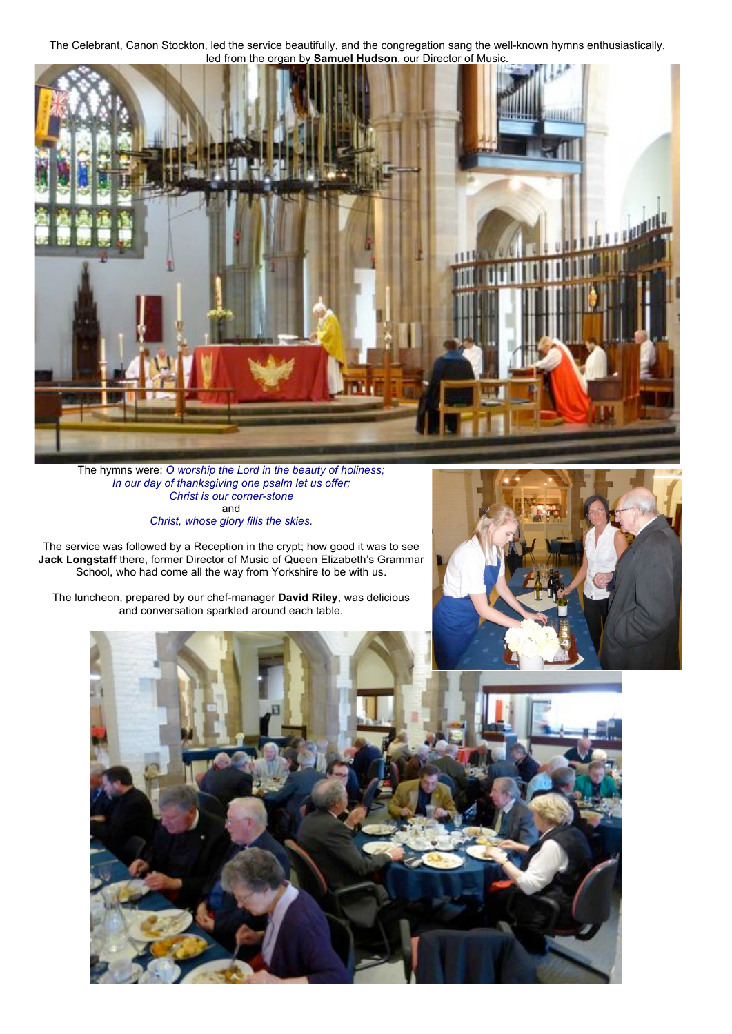The Celebrant, Canon Stockton, led the service beautifully, and the congregation sang the well-known hymns enthusiastically, led from the organ by **Samuel Hudson**, our Director of Music.



The hymns were: *O worship the Lord in the beauty of holiness; In our day of thanksgiving one psalm let us offer; Christ is our corner-stone*  and

*Christ, whose glory fills the skies.*

The service was followed by a Reception in the crypt; how good it was to see **Jack Longstaff** there, former Director of Music of Queen Elizabeth's Grammar School, who had come all the way from Yorkshire to be with us.

The luncheon, prepared by our chef-manager **David Riley**, was delicious and conversation sparkled around each table.



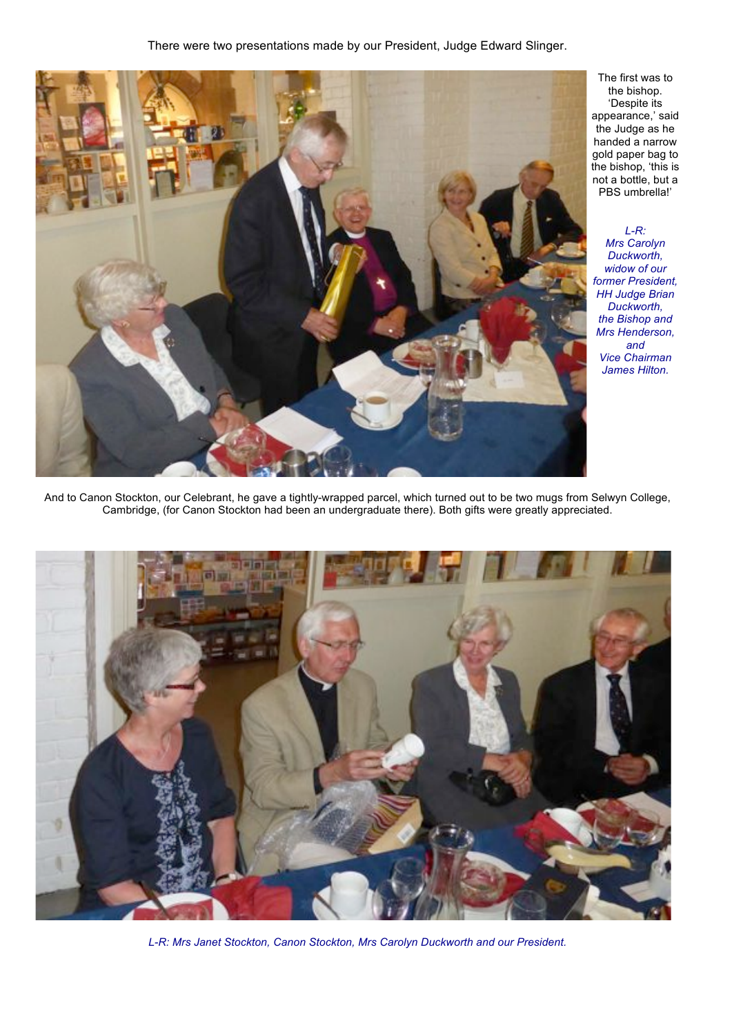

The first was to the bishop. 'Despite its appearance,' said the Judge as he handed a narrow gold paper bag to the bishop, 'this is not a bottle, but a PBS umbrella!'

*L-R: Mrs Carolyn Duckworth, widow of our former President, HH Judge Brian Duckworth, the Bishop and Mrs Henderson, and Vice Chairman James Hilton.*

And to Canon Stockton, our Celebrant, he gave a tightly-wrapped parcel, which turned out to be two mugs from Selwyn College, Cambridge, (for Canon Stockton had been an undergraduate there). Both gifts were greatly appreciated.



*L-R: Mrs Janet Stockton, Canon Stockton, Mrs Carolyn Duckworth and our President.*